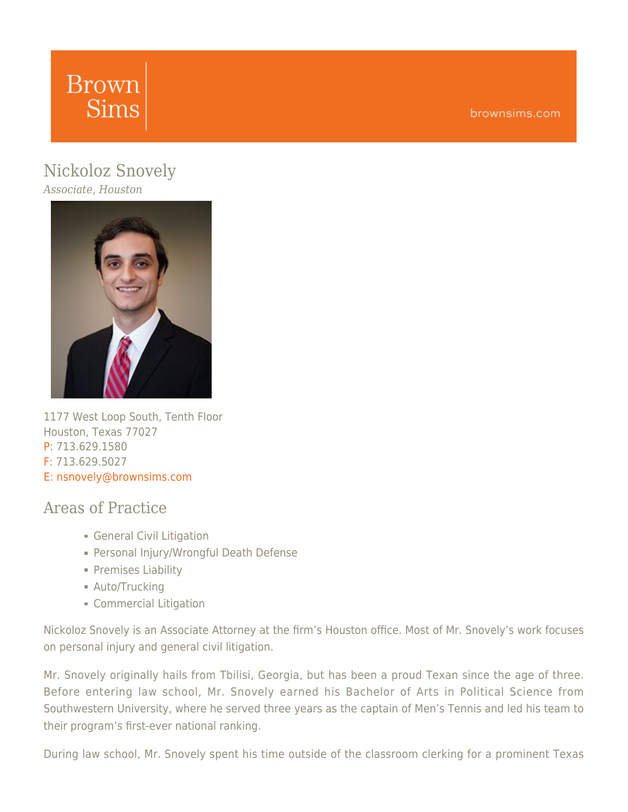# **Brown Sims**

#### brownsims.com

## [Nickoloz](https://www.brownsims.com/lawyers/name/nickoloz-snovely/detail/) [Snovely](https://www.brownsims.com/lawyers/name/nickoloz-snovely/detail/)

*Associate, Houston*



1177 West Loop South, Tenth Floor Houston, Texas 77027 P: 713.629.1580 F: 713.629.5027 E: [nsnovely@brownsims.com](mailto:nsnovely@brownsims.com)

#### Areas of Practice

- General Civil Litigation
- Personal Injury/Wrongful Death Defense
- **Premises Liability**
- **Auto/Trucking**
- **Commercial Litigation**

Nickoloz Snovely is an Associate Attorney at the firm's Houston office. Most of Mr. Snovely's work focuses on personal injury and general civil litigation.

Mr. Snovely originally hails from Tbilisi, Georgia, but has been a proud Texan since the age of three. Before entering law school, Mr. Snovely earned his Bachelor of Arts in Political Science from Southwestern University, where he served three years as the captain of Men's Tennis and led his team to their program's first-ever national ranking.

During law school, Mr. Snovely spent his time outside of the classroom clerking for a prominent Texas